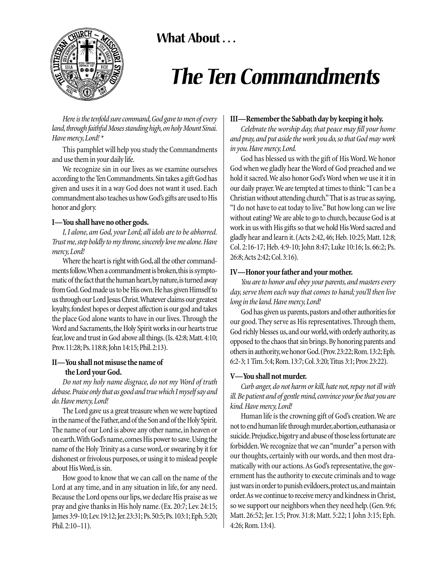# **What About . . .**



# *The Ten Commandments*

*Here is the tenfold sure command,God gave to men of every* land, through faithful Moses standing high, on holy Mount Sinai. *Have mercy,Lord! \**

This pamphlet will help you study the Commandments and use them in your daily life.

We recognize sin in our lives as we examine ourselves according to the Ten Commandments.Sin takes a gift God has given and uses it in a way God does not want it used. Each commandment also teaches us how God's gifts are used to His honor and glory.

## **I—You shall have no other gods.**

*I, I alone, am God, your Lord; all idols are to be abhorred. Trust me,step boldly to my throne,sincerely love me alone.Have mercy,Lord!*

Where the heart is right with God, all the other commandments follow. When a commandment is broken, this is symptomatic of the fact that the human heart, by nature, is turned away from God.God made us to be His own.He has given Himself to us through our Lord Jesus Christ.Whatever claims our greatest loyalty, fondest hopes or deepest affection is our god and takes the place God alone wants to have in our lives. Through the Word and Sacraments, the Holy Spirit works in our hearts true fear,love and trust in God above all things.(Is.42:8; Matt.4:10; Prov.11:28; Ps.118:8; John 14:15; Phil.2:13).

# **II—You shall not misuse the name of the Lord your God.**

*Do not my holy name disgrace, do not my Word of truth debase.Praise only that as good and true which I myself say and do.Have mercy,Lord!*

The Lord gave us a great treasure when we were baptized in the name of the Father,and of the Son and of the Holy Spirit. The name of our Lord is above any other name, in heaven or on earth.With God's name,comes His power to save. Using the name of the Holy Trinity as a curse word, or swearing by it for dishonest or frivolous purposes, or using it to mislead people about His Word, is sin.

How good to know that we can call on the name of the Lord at any time, and in any situation in life, for any need. Because the Lord opens our lips, we declare His praise as we pray and give thanks in His holy name. (Ex. 20:7; Lev. 24:15; James 3:9-10; Lev. 19:12; Jer. 23:31; Ps. 50:5; Ps. 103:1; Eph. 5:20; Phil.2:10–11).

# **III—Remember the Sabbath day by keeping it holy.**

*Celebrate the worship day, that peace may fill your home and pray, and put aside the work you do, so that God may work in you.Have mercy,Lord.*

God has blessed us with the gift of His Word.We honor God when we gladly hear the Word of God preached and we hold it sacred.We also honor God's Word when we use it it in our daily prayer.We are tempted at times to think: "I can be a Christian without attending church." That is as true as saying, "I do not have to eat today to live."But how long can we live without eating? We are able to go to church, because God is at work in us with His gifts so that we hold His Word sacred and gladly hear and learn it.(Acts 2:42,46; Heb.10:25; Matt.12:8; Col. 2:16-17; Heb. 4:9-10; John 8:47; Luke 10:16; Is. 66:2; Ps. 26:8;Acts 2:42; Col.3:16).

## **IV—Honor your father and your mother.**

*You are to honor and obey your parents, and masters every day, serve them each way that comes to hand; you'll then live long in the land.Have mercy,Lord!*

God has given us parents,pastors and other authorities for our good. They serve as His representatives. Through them, God richly blesses us, and our world, with orderly authority, as opposed to the chaos that sin brings.By honoring parents and others in authority, we honor God. (Prov. 23:22; Rom. 13:2; Eph. 6:2-3; 1 Tim.5:4; Rom.13:7; Col.3:20; Titus 3:1; Prov.23:22).

## **V—You shall not murder.**

*Curb anger, do not harm or kill, hate not, repay not ill with ill.Be patient and of gentle mind,convince your foe that you are kind.Have mercy,Lord!*

Human life is the crowning gift of God's creation.We are not to end human life through murder,abortion,euthanasia or suicide.Prejudice,bigotry and abuse of those less fortunate are forbidden.We recognize that we can "murder"a person with our thoughts, certainly with our words, and then most dramatically with our actions.As God's representative, the government has the authority to execute criminals and to wage just wars in order to punish evildoers, protect us, and maintain order.As we continue to receive mercy and kindness in Christ, so we support our neighbors when they need help.(Gen.9:6; Matt. 26:52; Jer. 1:5; Prov. 31:8; Matt. 5:22; 1 John 3:15; Eph. 4:26; Rom.13:4).